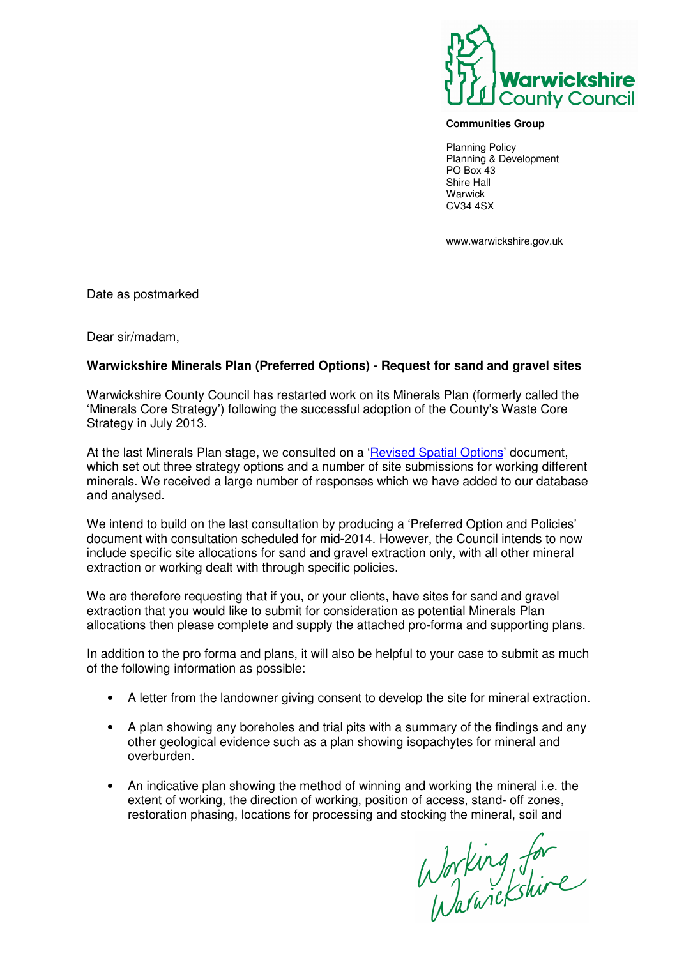

## **Communities Group**

Planning Policy Planning & Development PO Box 43 Shire Hall **Warwick** CV34 4SX

www.warwickshire.gov.uk

Date as postmarked

Dear sir/madam,

## **Warwickshire Minerals Plan (Preferred Options) - Request for sand and gravel sites**

Warwickshire County Council has restarted work on its Minerals Plan (formerly called the 'Minerals Core Strategy') following the successful adoption of the County's Waste Core Strategy in July 2013.

At the last Minerals Plan stage, we consulted on a 'Revised Spatial Options' document, which set out three strategy options and a number of site submissions for working different minerals. We received a large number of responses which we have added to our database and analysed.

We intend to build on the last consultation by producing a 'Preferred Option and Policies' document with consultation scheduled for mid-2014. However, the Council intends to now include specific site allocations for sand and gravel extraction only, with all other mineral extraction or working dealt with through specific policies.

We are therefore requesting that if you, or your clients, have sites for sand and gravel extraction that you would like to submit for consideration as potential Minerals Plan allocations then please complete and supply the attached pro-forma and supporting plans.

In addition to the pro forma and plans, it will also be helpful to your case to submit as much of the following information as possible:

- A letter from the landowner giving consent to develop the site for mineral extraction.
- A plan showing any boreholes and trial pits with a summary of the findings and any other geological evidence such as a plan showing isopachytes for mineral and overburden.
- An indicative plan showing the method of winning and working the mineral i.e. the extent of working, the direction of working, position of access, stand- off zones, restoration phasing, locations for processing and stocking the mineral, soil and

Working for